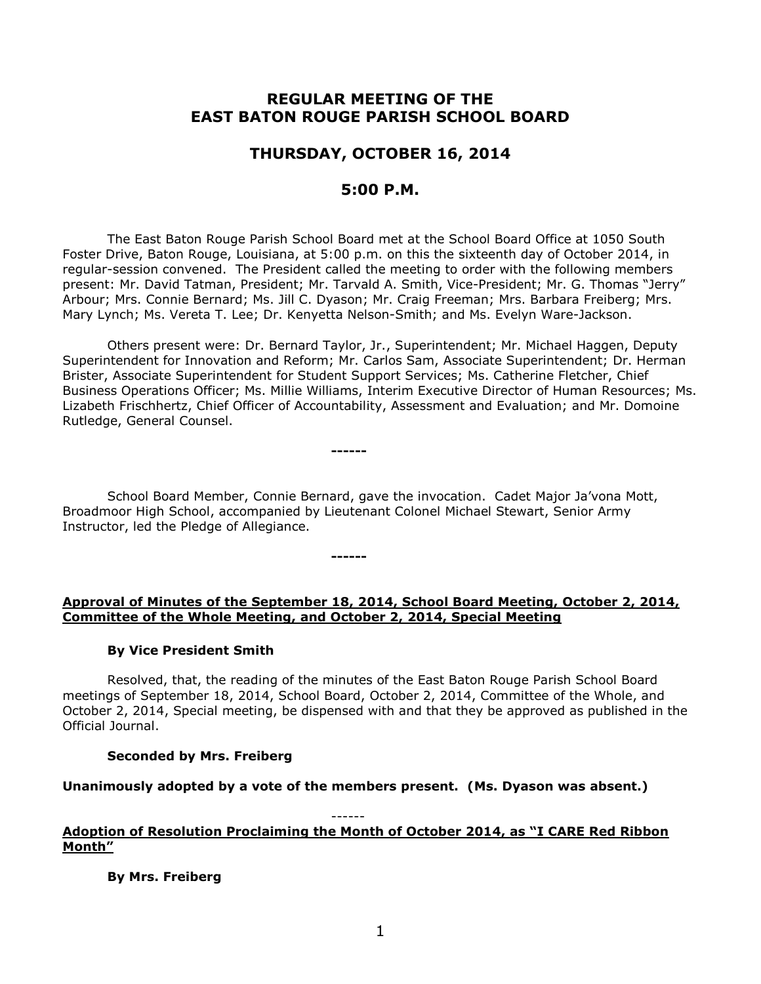# **REGULAR MEETING OF THE EAST BATON ROUGE PARISH SCHOOL BOARD**

# **THURSDAY, OCTOBER 16, 2014**

# **5:00 P.M.**

The East Baton Rouge Parish School Board met at the School Board Office at 1050 South Foster Drive, Baton Rouge, Louisiana, at 5:00 p.m. on this the sixteenth day of October 2014, in regular-session convened. The President called the meeting to order with the following members present: Mr. David Tatman, President; Mr. Tarvald A. Smith, Vice-President; Mr. G. Thomas "Jerry" Arbour; Mrs. Connie Bernard; Ms. Jill C. Dyason; Mr. Craig Freeman; Mrs. Barbara Freiberg; Mrs. Mary Lynch; Ms. Vereta T. Lee; Dr. Kenyetta Nelson-Smith; and Ms. Evelyn Ware-Jackson.

Others present were: Dr. Bernard Taylor, Jr., Superintendent; Mr. Michael Haggen, Deputy Superintendent for Innovation and Reform; Mr. Carlos Sam, Associate Superintendent; Dr. Herman Brister, Associate Superintendent for Student Support Services; Ms. Catherine Fletcher, Chief Business Operations Officer; Ms. Millie Williams, Interim Executive Director of Human Resources; Ms. Lizabeth Frischhertz, Chief Officer of Accountability, Assessment and Evaluation; and Mr. Domoine Rutledge, General Counsel.

School Board Member, Connie Bernard, gave the invocation. Cadet Major Ja'vona Mott, Broadmoor High School, accompanied by Lieutenant Colonel Michael Stewart, Senior Army Instructor, led the Pledge of Allegiance.

**------**

**------**

## **Approval of Minutes of the September 18, 2014, School Board Meeting, October 2, 2014, Committee of the Whole Meeting, and October 2, 2014, Special Meeting**

## **By Vice President Smith**

Resolved, that, the reading of the minutes of the East Baton Rouge Parish School Board meetings of September 18, 2014, School Board, October 2, 2014, Committee of the Whole, and October 2, 2014, Special meeting, be dispensed with and that they be approved as published in the Official Journal.

## **Seconded by Mrs. Freiberg**

## **Unanimously adopted by a vote of the members present. (Ms. Dyason was absent.)**

#### ------ **Adoption of Resolution Proclaiming the Month of October 2014, as "I CARE Red Ribbon Month"**

## **By Mrs. Freiberg**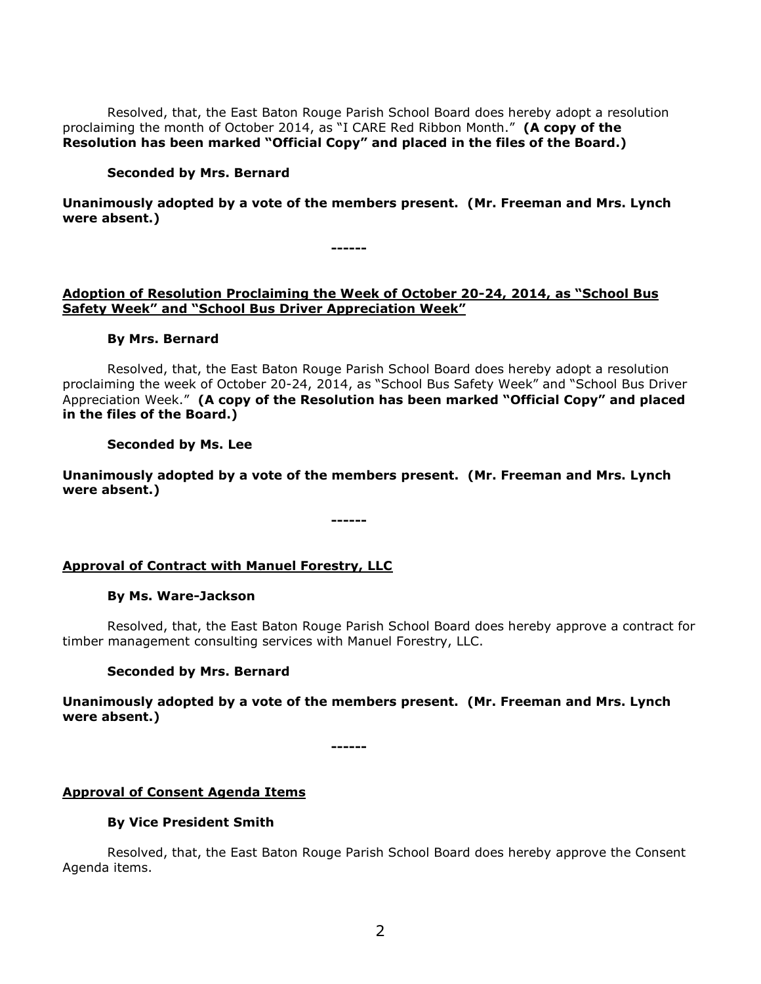Resolved, that, the East Baton Rouge Parish School Board does hereby adopt a resolution proclaiming the month of October 2014, as "I CARE Red Ribbon Month." **(A copy of the Resolution has been marked "Official Copy" and placed in the files of the Board.)**

### **Seconded by Mrs. Bernard**

**Unanimously adopted by a vote of the members present. (Mr. Freeman and Mrs. Lynch were absent.)**

**Adoption of Resolution Proclaiming the Week of October 20-24, 2014, as "School Bus Safety Week" and "School Bus Driver Appreciation Week"** 

**------**

#### **By Mrs. Bernard**

Resolved, that, the East Baton Rouge Parish School Board does hereby adopt a resolution proclaiming the week of October 20-24, 2014, as "School Bus Safety Week" and "School Bus Driver Appreciation Week." **(A copy of the Resolution has been marked "Official Copy" and placed in the files of the Board.)**

### **Seconded by Ms. Lee**

**Unanimously adopted by a vote of the members present. (Mr. Freeman and Mrs. Lynch were absent.)**

**------**

**Approval of Contract with Manuel Forestry, LLC**

#### **By Ms. Ware-Jackson**

Resolved, that, the East Baton Rouge Parish School Board does hereby approve a contract for timber management consulting services with Manuel Forestry, LLC.

#### **Seconded by Mrs. Bernard**

**Unanimously adopted by a vote of the members present. (Mr. Freeman and Mrs. Lynch were absent.)**

**------**

## **Approval of Consent Agenda Items**

#### **By Vice President Smith**

Resolved, that, the East Baton Rouge Parish School Board does hereby approve the Consent Agenda items.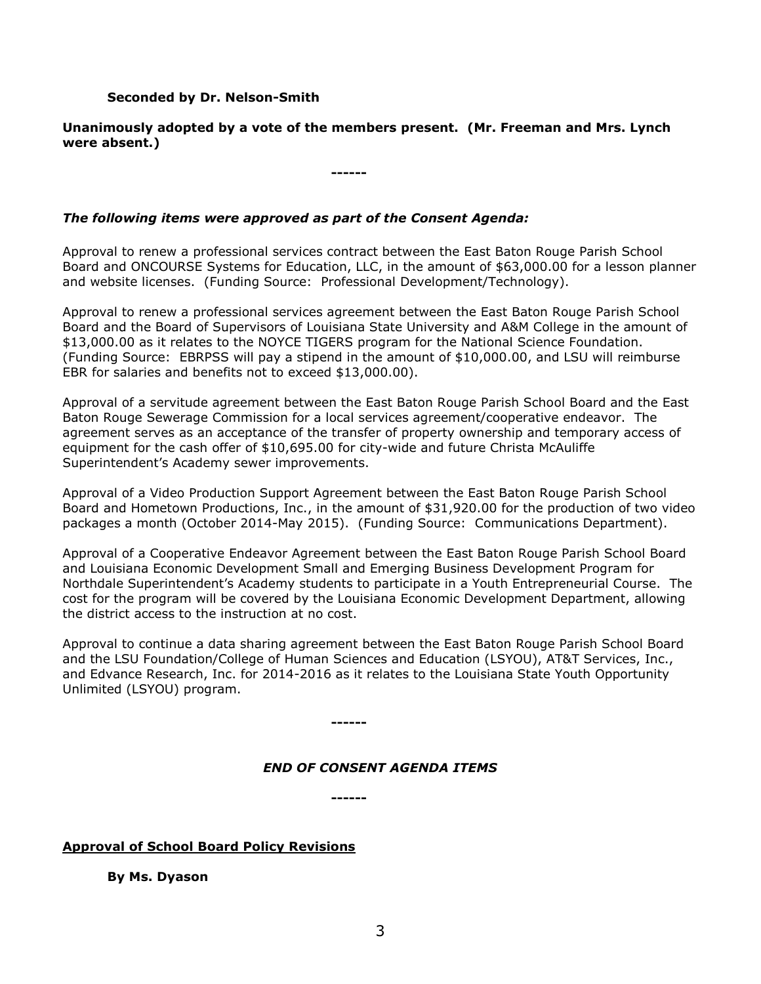### **Seconded by Dr. Nelson-Smith**

## **Unanimously adopted by a vote of the members present. (Mr. Freeman and Mrs. Lynch were absent.)**

**------**

## *The following items were approved as part of the Consent Agenda:*

Approval to renew a professional services contract between the East Baton Rouge Parish School Board and ONCOURSE Systems for Education, LLC, in the amount of \$63,000.00 for a lesson planner and website licenses. (Funding Source: Professional Development/Technology).

Approval to renew a professional services agreement between the East Baton Rouge Parish School Board and the Board of Supervisors of Louisiana State University and A&M College in the amount of \$13,000.00 as it relates to the NOYCE TIGERS program for the National Science Foundation. (Funding Source: EBRPSS will pay a stipend in the amount of \$10,000.00, and LSU will reimburse EBR for salaries and benefits not to exceed \$13,000.00).

Approval of a servitude agreement between the East Baton Rouge Parish School Board and the East Baton Rouge Sewerage Commission for a local services agreement/cooperative endeavor. The agreement serves as an acceptance of the transfer of property ownership and temporary access of equipment for the cash offer of \$10,695.00 for city-wide and future Christa McAuliffe Superintendent's Academy sewer improvements.

Approval of a Video Production Support Agreement between the East Baton Rouge Parish School Board and Hometown Productions, Inc., in the amount of \$31,920.00 for the production of two video packages a month (October 2014-May 2015). (Funding Source: Communications Department).

Approval of a Cooperative Endeavor Agreement between the East Baton Rouge Parish School Board and Louisiana Economic Development Small and Emerging Business Development Program for Northdale Superintendent's Academy students to participate in a Youth Entrepreneurial Course. The cost for the program will be covered by the Louisiana Economic Development Department, allowing the district access to the instruction at no cost.

Approval to continue a data sharing agreement between the East Baton Rouge Parish School Board and the LSU Foundation/College of Human Sciences and Education (LSYOU), AT&T Services, Inc., and Edvance Research, Inc. for 2014-2016 as it relates to the Louisiana State Youth Opportunity Unlimited (LSYOU) program.

**------**

## *END OF CONSENT AGENDA ITEMS*

**------**

## **Approval of School Board Policy Revisions**

**By Ms. Dyason**